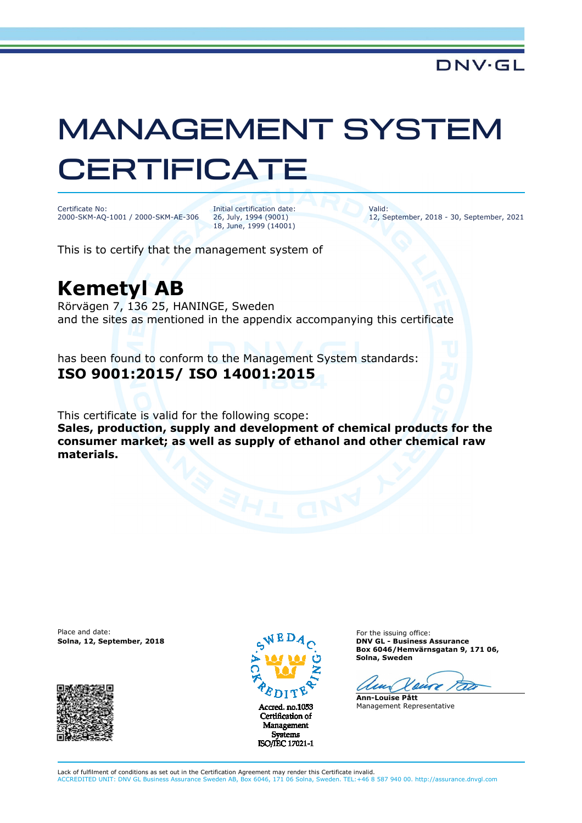## MANAGEMENT SYSTEM **CERTIFICATE**

Certificate No: 2000-SKM-AQ-1001 / 2000-SKM-AE-306 Initial certification date: 26, July, 1994 (9001) 18, June, 1999 (14001)

Valid: 12, September, 2018 - 30, September, 2021

This is to certify that the management system of

## **Kemetyl AB**

Rörvägen 7, 136 25, HANINGE, Sweden and the sites as mentioned in the appendix accompanying this certificate

has been found to conform to the Management System standards: **ISO 9001:2015/ ISO 14001:2015**

This certificate is valid for the following scope: **Sales, production, supply and development of chemical products for the consumer market; as well as supply of ethanol and other chemical raw materials.** 

Place and date:





Certification of Management **Systems** ISO/IEC 17021-1

For the issuing office: **Solna, 12, September, 2018 DNV GL - Business Assurance Box 6046/Hemvärnsgatan 9, 171 06, Solna, Sweden** 

 $\mathcal{L}$ 

**Ann-Louise Pått** Management Representative

Lack of fulfilment of conditions as set out in the Certification Agreement may render this Certificate invalid. ACCREDITED UNIT: DNV GL Business Assurance Sweden AB, Box 6046, 171 06 Solna, Sweden. TEL:+46 8 587 940 00. http://assurance.dnvgl.com